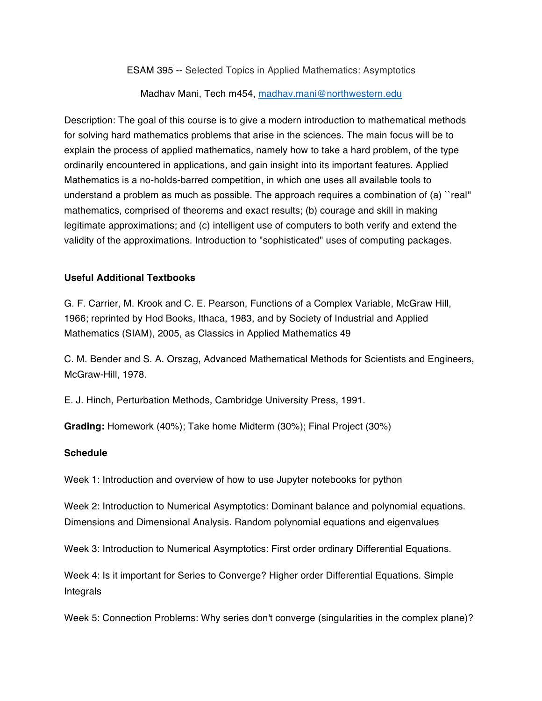ESAM 395 -- Selected Topics in Applied Mathematics: Asymptotics

Madhav Mani, Tech m454, madhav.mani@northwestern.edu

Description: The goal of this course is to give a modern introduction to mathematical methods for solving hard mathematics problems that arise in the sciences. The main focus will be to explain the process of applied mathematics, namely how to take a hard problem, of the type ordinarily encountered in applications, and gain insight into its important features. Applied Mathematics is a no-holds-barred competition, in which one uses all available tools to understand a problem as much as possible. The approach requires a combination of (a) "real" mathematics, comprised of theorems and exact results; (b) courage and skill in making legitimate approximations; and (c) intelligent use of computers to both verify and extend the validity of the approximations. Introduction to "sophisticated" uses of computing packages.

## **Useful Additional Textbooks**

G. F. Carrier, M. Krook and C. E. Pearson, Functions of a Complex Variable, McGraw Hill, 1966; reprinted by Hod Books, Ithaca, 1983, and by Society of Industrial and Applied Mathematics (SIAM), 2005, as Classics in Applied Mathematics 49

C. M. Bender and S. A. Orszag, Advanced Mathematical Methods for Scientists and Engineers, McGraw-Hill, 1978.

E. J. Hinch, Perturbation Methods, Cambridge University Press, 1991.

**Grading:** Homework (40%); Take home Midterm (30%); Final Project (30%)

## **Schedule**

Week 1: Introduction and overview of how to use Jupyter notebooks for python

Week 2: Introduction to Numerical Asymptotics: Dominant balance and polynomial equations. Dimensions and Dimensional Analysis. Random polynomial equations and eigenvalues

Week 3: Introduction to Numerical Asymptotics: First order ordinary Differential Equations.

Week 4: Is it important for Series to Converge? Higher order Differential Equations. Simple Integrals

Week 5: Connection Problems: Why series don't converge (singularities in the complex plane)?